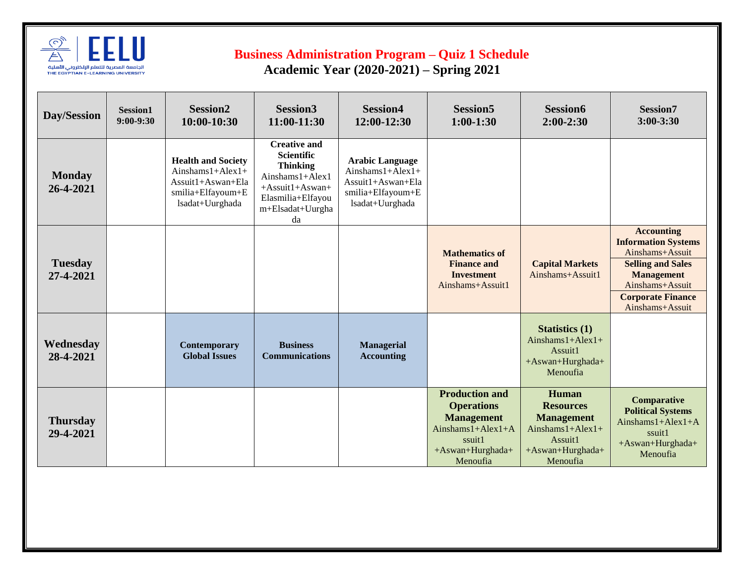

## **Business Administration Program – Quiz 1 Schedule**

 **Academic Year (2020-2021) – Spring 2021** 

| Day/Session                  | Session1<br>$9:00-9:30$ | <b>Session2</b><br>10:00-10:30                                                                                | <b>Session3</b><br>11:00-11:30                                                                                                                            | <b>Session4</b><br>12:00-12:30                                                                             | <b>Session5</b><br>$1:00-1:30$                                                                                                    | <b>Session6</b><br>$2:00-2:30$                                                                                   | Session7<br>$3:00 - 3:30$                                                                                                                                                             |
|------------------------------|-------------------------|---------------------------------------------------------------------------------------------------------------|-----------------------------------------------------------------------------------------------------------------------------------------------------------|------------------------------------------------------------------------------------------------------------|-----------------------------------------------------------------------------------------------------------------------------------|------------------------------------------------------------------------------------------------------------------|---------------------------------------------------------------------------------------------------------------------------------------------------------------------------------------|
| <b>Monday</b><br>26-4-2021   |                         | <b>Health and Society</b><br>Ainshams $1+Alex1+$<br>Assuit1+Aswan+Ela<br>smilia+Elfayoum+E<br>lsadat+Uurghada | <b>Creative and</b><br><b>Scientific</b><br><b>Thinking</b><br>Ainshams1+Alex1<br>$+ Assume$ ssuit1+Aswan+<br>Elasmilia+Elfayou<br>m+Elsadat+Uurgha<br>da | <b>Arabic Language</b><br>Ainshams $1+Alex1+$<br>Assuit1+Aswan+Ela<br>smilia+Elfayoum+E<br>lsadat+Uurghada |                                                                                                                                   |                                                                                                                  |                                                                                                                                                                                       |
| <b>Tuesday</b><br>27-4-2021  |                         |                                                                                                               |                                                                                                                                                           |                                                                                                            | <b>Mathematics of</b><br><b>Finance and</b><br><b>Investment</b><br>Ainshams+Assuit1                                              | <b>Capital Markets</b><br>Ainshams+Assuit1                                                                       | <b>Accounting</b><br><b>Information Systems</b><br>Ainshams+Assuit<br><b>Selling and Sales</b><br><b>Management</b><br>Ainshams+Assuit<br><b>Corporate Finance</b><br>Ainshams+Assuit |
| Wednesday<br>28-4-2021       |                         | Contemporary<br><b>Global Issues</b>                                                                          | <b>Business</b><br><b>Communications</b>                                                                                                                  | <b>Managerial</b><br><b>Accounting</b>                                                                     |                                                                                                                                   | <b>Statistics</b> (1)<br>Ainshams $1+Alex1+$<br>Assuit1<br>+Aswan+Hurghada+<br>Menoufia                          |                                                                                                                                                                                       |
| <b>Thursday</b><br>29-4-2021 |                         |                                                                                                               |                                                                                                                                                           |                                                                                                            | <b>Production and</b><br><b>Operations</b><br><b>Management</b><br>Ainshams $1+Alex1+A$<br>ssuit1<br>+Aswan+Hurghada+<br>Menoufia | Human<br><b>Resources</b><br><b>Management</b><br>Ainshams $1+Alex1+$<br>Assuit1<br>+Aswan+Hurghada+<br>Menoufia | <b>Comparative</b><br><b>Political Systems</b><br>Ainshams $1+Alex1+A$<br>ssuit1<br>+Aswan+Hurghada+<br>Menoufia                                                                      |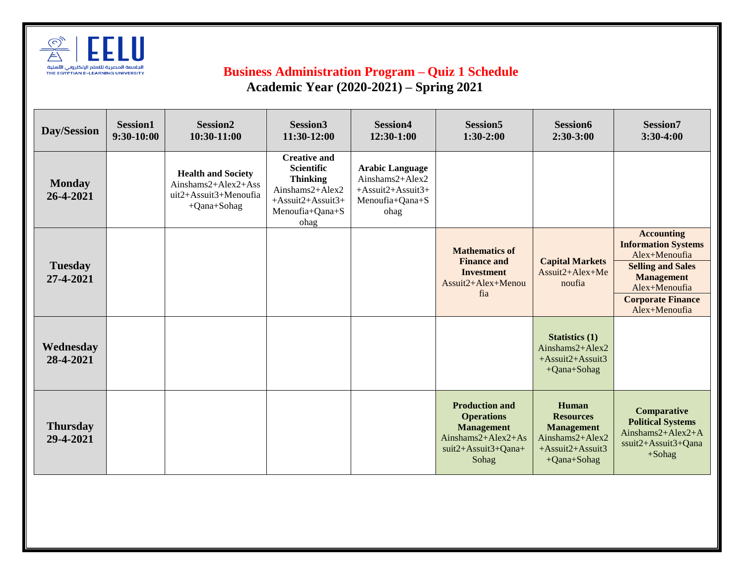

## **Business Administration Program – Quiz 1 Schedule Academic Year (2020-2021) – Spring 2021**

| Day/Session                  | Session1<br>9:30-10:00 | Session <sub>2</sub><br>10:30-11:00                                                         | Session <sub>3</sub><br>11:30-12:00                                                                                               | <b>Session4</b><br>12:30-1:00                                                             | Session <sub>5</sub><br>$1:30-2:00$                                                                                   | Session6<br>$2:30-3:00$                                                                                     | Session7<br>3:30-4:00                                                                                                                                                           |
|------------------------------|------------------------|---------------------------------------------------------------------------------------------|-----------------------------------------------------------------------------------------------------------------------------------|-------------------------------------------------------------------------------------------|-----------------------------------------------------------------------------------------------------------------------|-------------------------------------------------------------------------------------------------------------|---------------------------------------------------------------------------------------------------------------------------------------------------------------------------------|
| <b>Monday</b><br>26-4-2021   |                        | <b>Health and Society</b><br>Ainshams $2+Alex2+Ass$<br>uit2+Assuit3+Menoufia<br>+Qana+Sohag | <b>Creative and</b><br><b>Scientific</b><br><b>Thinking</b><br>Ainshams2+Alex2<br>$+$ Assuit2+Assuit3+<br>Menoufia+Qana+S<br>ohag | <b>Arabic Language</b><br>Ainshams2+Alex2<br>+Assuit2+Assuit3+<br>Menoufia+Qana+S<br>ohag |                                                                                                                       |                                                                                                             |                                                                                                                                                                                 |
| <b>Tuesday</b><br>27-4-2021  |                        |                                                                                             |                                                                                                                                   |                                                                                           | <b>Mathematics of</b><br><b>Finance and</b><br><b>Investment</b><br>Assuit2+Alex+Menou<br>fia                         | <b>Capital Markets</b><br>$Assuit2+Alex+Me$<br>noufia                                                       | <b>Accounting</b><br><b>Information Systems</b><br>Alex+Menoufia<br><b>Selling and Sales</b><br><b>Management</b><br>Alex+Menoufia<br><b>Corporate Finance</b><br>Alex+Menoufia |
| Wednesday<br>28-4-2021       |                        |                                                                                             |                                                                                                                                   |                                                                                           |                                                                                                                       | <b>Statistics (1)</b><br>Ainshams $2+Alex2$<br>$+ Assume2+Assuit3$<br>+Qana+Sohag                           |                                                                                                                                                                                 |
| <b>Thursday</b><br>29-4-2021 |                        |                                                                                             |                                                                                                                                   |                                                                                           | <b>Production and</b><br><b>Operations</b><br><b>Management</b><br>Ainshams2+Alex2+As<br>suit2+Assuit3+Qana+<br>Sohag | Human<br><b>Resources</b><br><b>Management</b><br>Ainshams2+Alex2<br>+Assuit2+Assuit3<br>$+Q$ ana $+S$ ohag | <b>Comparative</b><br><b>Political Systems</b><br>Ainshams2+Alex2+A<br>ssuit2+Assuit3+Qana<br>$+$ Sohag                                                                         |